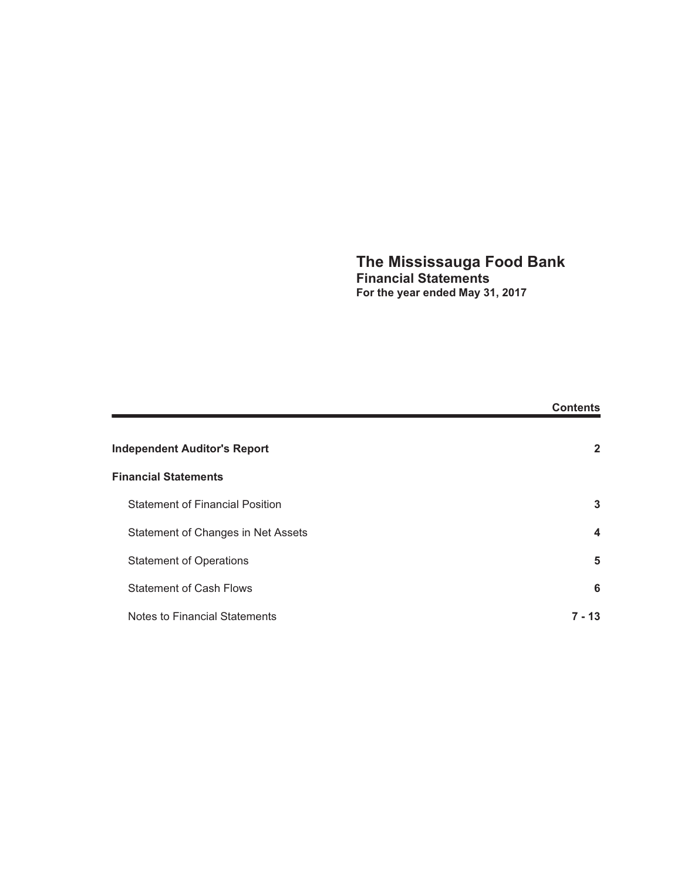### **The Mississauga Food Bank Financial Statements For the year ended May 31, 2017**

|                                        | <b>Contents</b>         |
|----------------------------------------|-------------------------|
| <b>Independent Auditor's Report</b>    | $\mathbf{2}$            |
| <b>Financial Statements</b>            |                         |
| <b>Statement of Financial Position</b> | 3                       |
| Statement of Changes in Net Assets     | $\overline{\mathbf{4}}$ |
| <b>Statement of Operations</b>         | 5                       |
| <b>Statement of Cash Flows</b>         | 6                       |
| Notes to Financial Statements          | 7 - 13                  |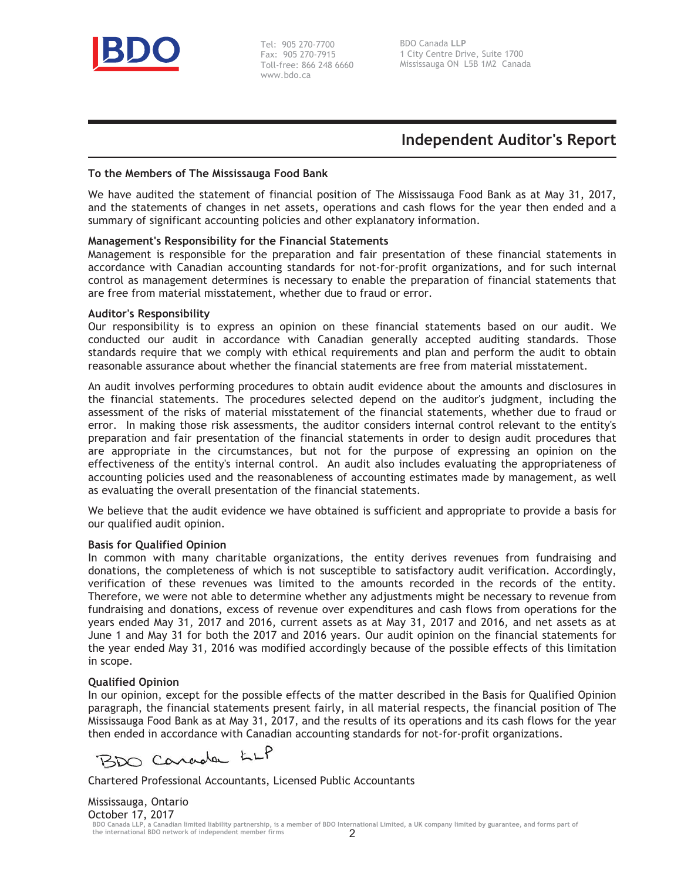

Tel: 905 270-7700 Fax: 905 270-7915 Toll-free: 866 248 6660 www.bdo.ca

# **Independent Auditor's Report**

#### **To the Members of The Mississauga Food Bank**

We have audited the statement of financial position of The Mississauga Food Bank as at May 31, 2017, and the statements of changes in net assets, operations and cash flows for the year then ended and a summary of significant accounting policies and other explanatory information.

### **Management's Responsibility for the Financial Statements**

Management is responsible for the preparation and fair presentation of these financial statements in accordance with Canadian accounting standards for not-for-profit organizations, and for such internal control as management determines is necessary to enable the preparation of financial statements that are free from material misstatement, whether due to fraud or error.

#### **Auditor's Responsibility**

Our responsibility is to express an opinion on these financial statements based on our audit. We conducted our audit in accordance with Canadian generally accepted auditing standards. Those standards require that we comply with ethical requirements and plan and perform the audit to obtain reasonable assurance about whether the financial statements are free from material misstatement.

An audit involves performing procedures to obtain audit evidence about the amounts and disclosures in the financial statements. The procedures selected depend on the auditor's judgment, including the assessment of the risks of material misstatement of the financial statements, whether due to fraud or error. In making those risk assessments, the auditor considers internal control relevant to the entity's preparation and fair presentation of the financial statements in order to design audit procedures that are appropriate in the circumstances, but not for the purpose of expressing an opinion on the effectiveness of the entity's internal control. An audit also includes evaluating the appropriateness of accounting policies used and the reasonableness of accounting estimates made by management, as well as evaluating the overall presentation of the financial statements.

We believe that the audit evidence we have obtained is sufficient and appropriate to provide a basis for our qualified audit opinion.

#### **Basis for Qualified Opinion**

In common with many charitable organizations, the entity derives revenues from fundraising and donations, the completeness of which is not susceptible to satisfactory audit verification. Accordingly, verification of these revenues was limited to the amounts recorded in the records of the entity. Therefore, we were not able to determine whether any adjustments might be necessary to revenue from fundraising and donations, excess of revenue over expenditures and cash flows from operations for the years ended May 31, 2017 and 2016, current assets as at May 31, 2017 and 2016, and net assets as at June 1 and May 31 for both the 2017 and 2016 years. Our audit opinion on the financial statements for the year ended May 31, 2016 was modified accordingly because of the possible effects of this limitation in scope.

#### **Qualified Opinion**

In our opinion, except for the possible effects of the matter described in the Basis for Qualified Opinion paragraph, the financial statements present fairly, in all material respects, the financial position of The Mississauga Food Bank as at May 31, 2017, and the results of its operations and its cash flows for the year then ended in accordance with Canadian accounting standards for not-for-profit organizations.

BDO Carada LLP

Chartered Professional Accountants, Licensed Public Accountants

Mississauga, Ontario October 17, 2017 **BDO Canada LLP, a Canadian limited liability partnership, is a member of BDO International Limited, a UK company limited by guarantee, and forms part of the international BDO network of independent member firms**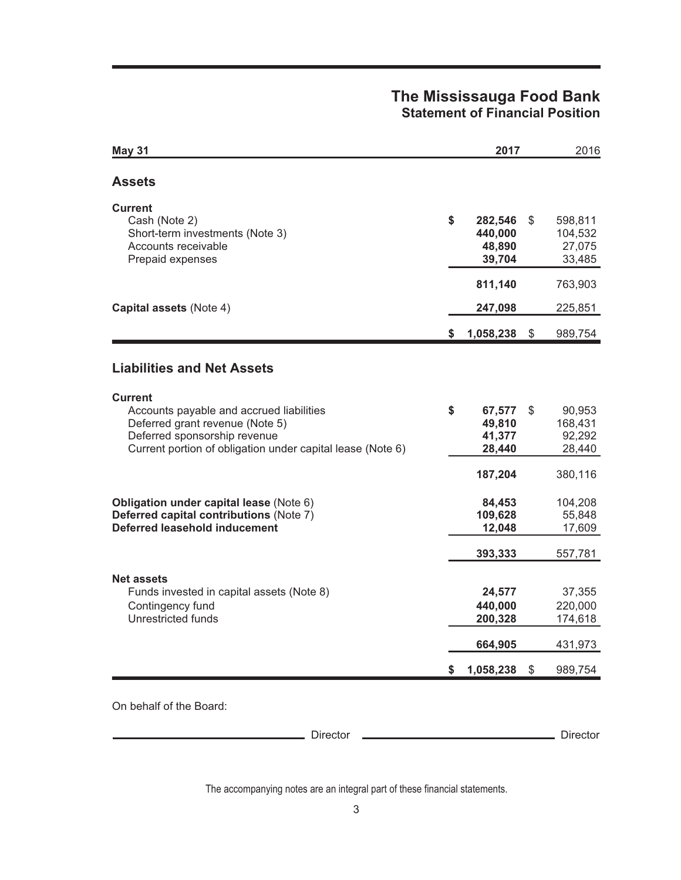# **The Mississauga Food Bank Statement of Financial Position**

| \$ | 282,546<br>440,000<br>48,890<br>39,704 | \$    | 598,811<br>104,532<br>27,075<br>33,485 |
|----|----------------------------------------|-------|----------------------------------------|
|    | 811,140                                |       | 763,903                                |
|    | 247,098                                |       | 225,851                                |
| S. | 1,058,238                              | $\$\$ | 989,754                                |
|    |                                        |       |                                        |
| \$ | 67,577<br>49,810<br>41,377<br>28,440   | \$    | 90,953<br>168,431<br>92,292<br>28,440  |
|    | 187,204                                |       | 380,116                                |
|    | 84,453<br>109,628<br>12,048            |       | 104,208<br>55,848<br>17,609            |
|    | 393,333                                |       | 557,781                                |
|    | 24,577<br>440,000<br>200,328           |       | 37,355<br>220,000<br>174,618           |
|    | 664,905                                |       | 431,973                                |
| S. | 1,058,238                              | $\$\$ | 989,754                                |
|    |                                        |       |                                        |

Director **Director** Director **Director** Director

The accompanying notes are an integral part of these financial statements.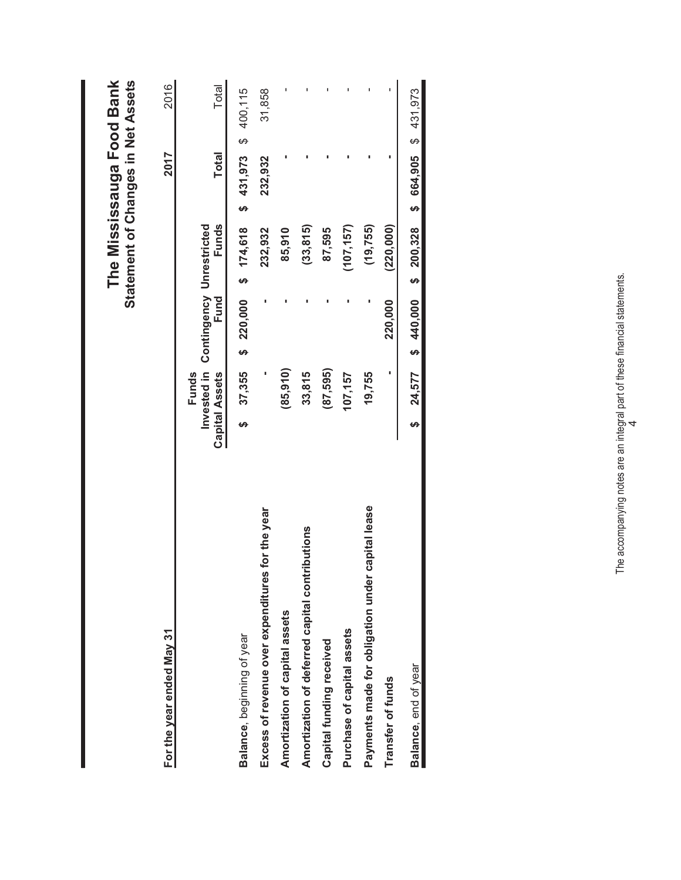|                                                     |                       |                                               |         |                      |                       | Statement of Changes in Net Assets |
|-----------------------------------------------------|-----------------------|-----------------------------------------------|---------|----------------------|-----------------------|------------------------------------|
| For the year ended May 31                           |                       |                                               |         |                      | 2017                  | 2016                               |
|                                                     | <b>Capital Assets</b> | Invested in Contingency Unrestricted<br>Funds | Fund    | Funds                | <b>Total</b>          | Total                              |
| Balance, beginning of year                          | ക                     | 37,355                                        |         | $$20,000$ \$ 174,618 | $$431,973$ \$ 400,115 |                                    |
| Excess of revenue over expenditures for the year    |                       |                                               |         | 232,932              | 232,932               | 31,858                             |
| Amortization of capital assets                      |                       | (85, 910)                                     |         | 85,910               |                       |                                    |
| Amortization of deferred capital contributions      |                       | 33,815                                        |         | (33, 815)            |                       |                                    |
| Capital funding received                            |                       | (87, 595)                                     |         | 87,595               |                       |                                    |
| Purchase of capital assets                          |                       | 107,157                                       |         | (107, 157)           |                       |                                    |
| capital lease<br>Payments made for obligation under |                       | 19,755                                        |         | (19, 755)            |                       |                                    |
| Transfer of funds                                   |                       |                                               | 220,000 | (220,000)            |                       |                                    |
| Balance, end of year                                | မာ                    | 24,577 \$ 440,000 \$ 200,328                  |         |                      | \$664,905\$431,973    |                                    |
|                                                     |                       |                                               |         |                      |                       |                                    |

The Mississauga Food Bank  **The Mississauga Food Bank**

The accompanying notes are an integral part of these financial statements. The accompanying notes are an integral part of these financial statements.<br> $4$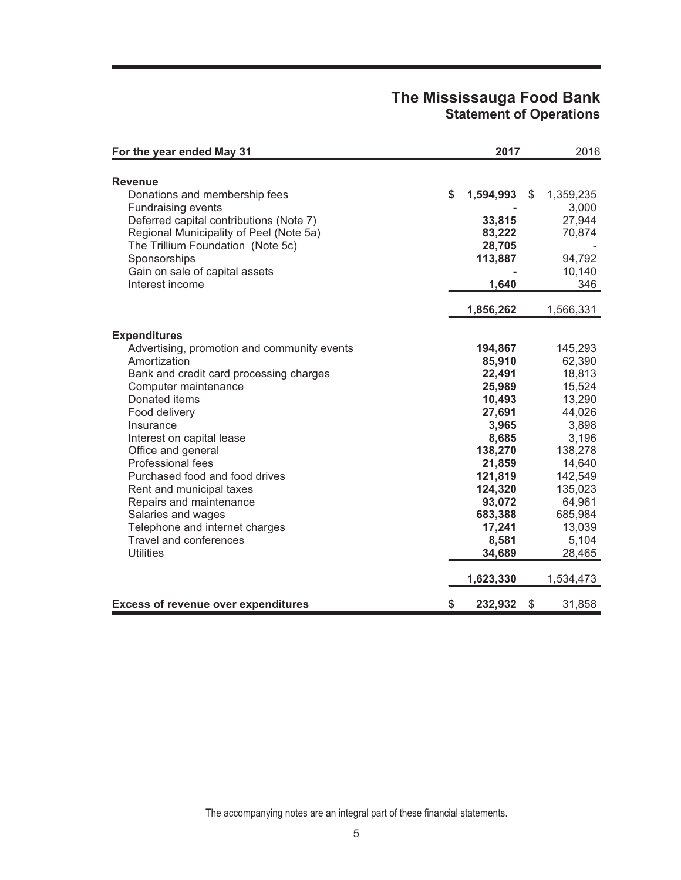## **The Mississauga Food Bank Statement of Operations**

| For the year ended May 31                   | 2017            | 2016            |
|---------------------------------------------|-----------------|-----------------|
|                                             |                 |                 |
| <b>Revenue</b>                              |                 |                 |
| Donations and membership fees               | \$<br>1,594,993 | \$<br>1,359,235 |
| <b>Fundraising events</b>                   |                 | 3,000           |
| Deferred capital contributions (Note 7)     | 33,815          | 27,944          |
| Regional Municipality of Peel (Note 5a)     | 83,222          | 70,874          |
| The Trillium Foundation (Note 5c)           | 28,705          |                 |
| Sponsorships                                | 113,887         | 94,792          |
| Gain on sale of capital assets              |                 | 10,140          |
| Interest income                             | 1,640           | 346             |
|                                             | 1,856,262       | 1,566,331       |
| <b>Expenditures</b>                         |                 |                 |
| Advertising, promotion and community events | 194,867         | 145,293         |
| Amortization                                | 85,910          | 62,390          |
| Bank and credit card processing charges     | 22,491          | 18,813          |
| Computer maintenance                        | 25,989          | 15,524          |
| Donated items                               | 10,493          | 13,290          |
| Food delivery                               | 27,691          | 44,026          |
| Insurance                                   | 3,965           | 3,898           |
| Interest on capital lease                   | 8,685           | 3,196           |
| Office and general                          | 138,270         | 138,278         |
| Professional fees                           | 21,859          | 14,640          |
| Purchased food and food drives              | 121,819         | 142,549         |
| Rent and municipal taxes                    | 124,320         | 135,023         |
| Repairs and maintenance                     | 93,072          | 64,961          |
| Salaries and wages                          | 683,388         | 685,984         |
| Telephone and internet charges              | 17,241          | 13,039          |
| <b>Travel and conferences</b>               | 8,581           | 5,104           |
| <b>Utilities</b>                            | 34,689          | 28,465          |
|                                             | 1,623,330       | 1,534,473       |
| <b>Excess of revenue over expenditures</b>  | \$<br>232,932   | \$<br>31,858    |

The accompanying notes are an integral part of these financial statements.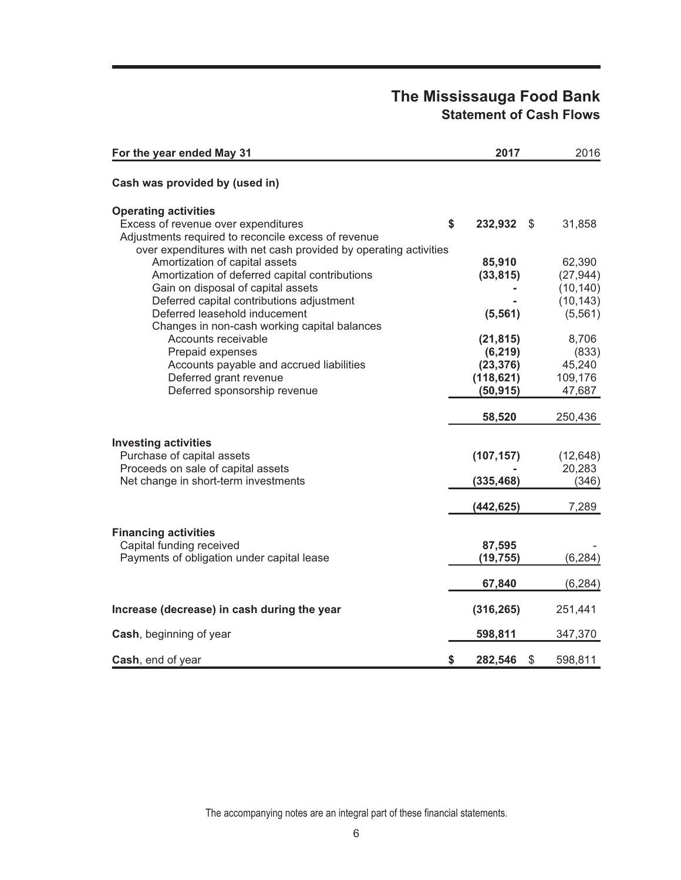# **The Mississauga Food Bank Statement of Cash Flows**

| For the year ended May 31                                                        | 2017                           | 2016      |
|----------------------------------------------------------------------------------|--------------------------------|-----------|
| Cash was provided by (used in)                                                   |                                |           |
| <b>Operating activities</b>                                                      |                                |           |
| Excess of revenue over expenditures                                              | \$<br>232,932<br>$\mathcal{S}$ | 31,858    |
| Adjustments required to reconcile excess of revenue                              |                                |           |
| over expenditures with net cash provided by operating activities                 | 85,910                         | 62,390    |
| Amortization of capital assets<br>Amortization of deferred capital contributions | (33, 815)                      | (27, 944) |
| Gain on disposal of capital assets                                               |                                | (10, 140) |
| Deferred capital contributions adjustment                                        |                                | (10, 143) |
| Deferred leasehold inducement                                                    | (5, 561)                       | (5, 561)  |
| Changes in non-cash working capital balances                                     |                                |           |
| Accounts receivable                                                              | (21, 815)                      | 8,706     |
| Prepaid expenses                                                                 | (6, 219)                       | (833)     |
| Accounts payable and accrued liabilities                                         | (23, 376)                      | 45,240    |
| Deferred grant revenue                                                           | (118, 621)                     | 109,176   |
| Deferred sponsorship revenue                                                     | (50, 915)                      | 47,687    |
|                                                                                  | 58,520                         | 250,436   |
| <b>Investing activities</b>                                                      |                                |           |
| Purchase of capital assets                                                       | (107, 157)                     | (12, 648) |
| Proceeds on sale of capital assets                                               |                                | 20,283    |
| Net change in short-term investments                                             | (335, 468)                     | (346)     |
|                                                                                  | (442, 625)                     | 7,289     |
|                                                                                  |                                |           |
| <b>Financing activities</b>                                                      |                                |           |
| Capital funding received                                                         | 87,595                         |           |
| Payments of obligation under capital lease                                       | (19, 755)                      | (6, 284)  |
|                                                                                  | 67,840                         | (6, 284)  |
| Increase (decrease) in cash during the year                                      | (316, 265)                     | 251,441   |
|                                                                                  |                                |           |
| Cash, beginning of year                                                          | 598,811                        | 347,370   |
| Cash, end of year                                                                | \$<br>\$<br>282,546            | 598,811   |

The accompanying notes are an integral part of these financial statements.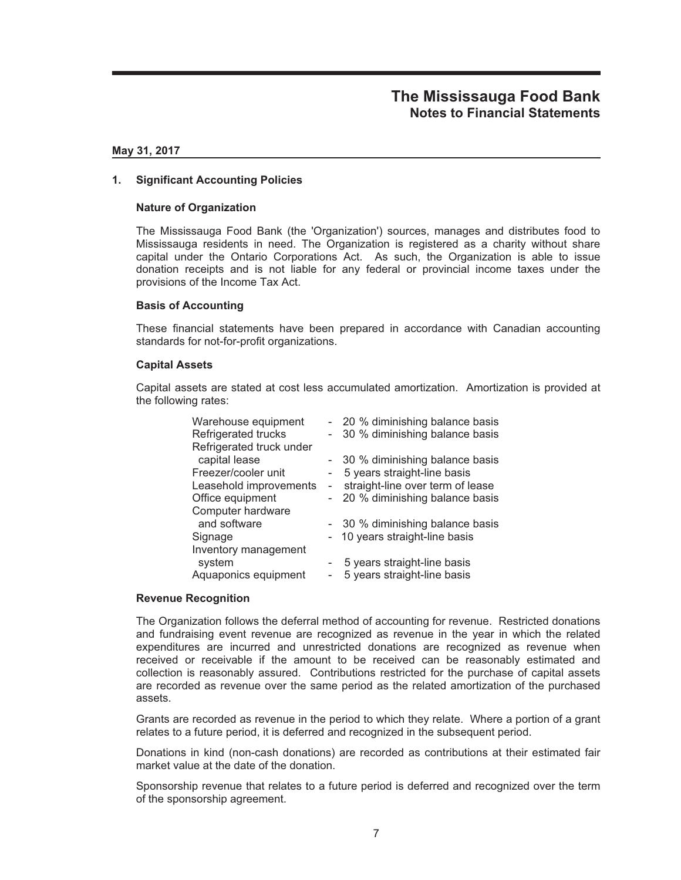#### **May 31, 2017**

### **1. Significant Accounting Policies**

#### **Nature of Organization**

The Mississauga Food Bank (the 'Organization') sources, manages and distributes food to Mississauga residents in need. The Organization is registered as a charity without share capital under the Ontario Corporations Act. As such, the Organization is able to issue donation receipts and is not liable for any federal or provincial income taxes under the provisions of the Income Tax Act.

#### **Basis of Accounting**

These financial statements have been prepared in accordance with Canadian accounting standards for not-for-profit organizations.

#### **Capital Assets**

Capital assets are stated at cost less accumulated amortization. Amortization is provided at the following rates:

| Warehouse equipment      |                          | 20 % diminishing balance basis   |
|--------------------------|--------------------------|----------------------------------|
| Refrigerated trucks      |                          | 30 % diminishing balance basis   |
| Refrigerated truck under |                          |                                  |
| capital lease            |                          | - 30 % diminishing balance basis |
| Freezer/cooler unit      | $\overline{\phantom{a}}$ | 5 years straight-line basis      |
| Leasehold improvements   | $\overline{\phantom{a}}$ | straight-line over term of lease |
| Office equipment         |                          | 20 % diminishing balance basis   |
| Computer hardware        |                          |                                  |
| and software             |                          | - 30 % diminishing balance basis |
| Signage                  |                          | 10 years straight-line basis     |
| Inventory management     |                          |                                  |
| system                   |                          | 5 years straight-line basis      |
| Aquaponics equipment     |                          | 5 years straight-line basis      |

#### **Revenue Recognition**

The Organization follows the deferral method of accounting for revenue. Restricted donations and fundraising event revenue are recognized as revenue in the year in which the related expenditures are incurred and unrestricted donations are recognized as revenue when received or receivable if the amount to be received can be reasonably estimated and collection is reasonably assured. Contributions restricted for the purchase of capital assets are recorded as revenue over the same period as the related amortization of the purchased assets.

Grants are recorded as revenue in the period to which they relate. Where a portion of a grant relates to a future period, it is deferred and recognized in the subsequent period.

Donations in kind (non-cash donations) are recorded as contributions at their estimated fair market value at the date of the donation.

Sponsorship revenue that relates to a future period is deferred and recognized over the term of the sponsorship agreement.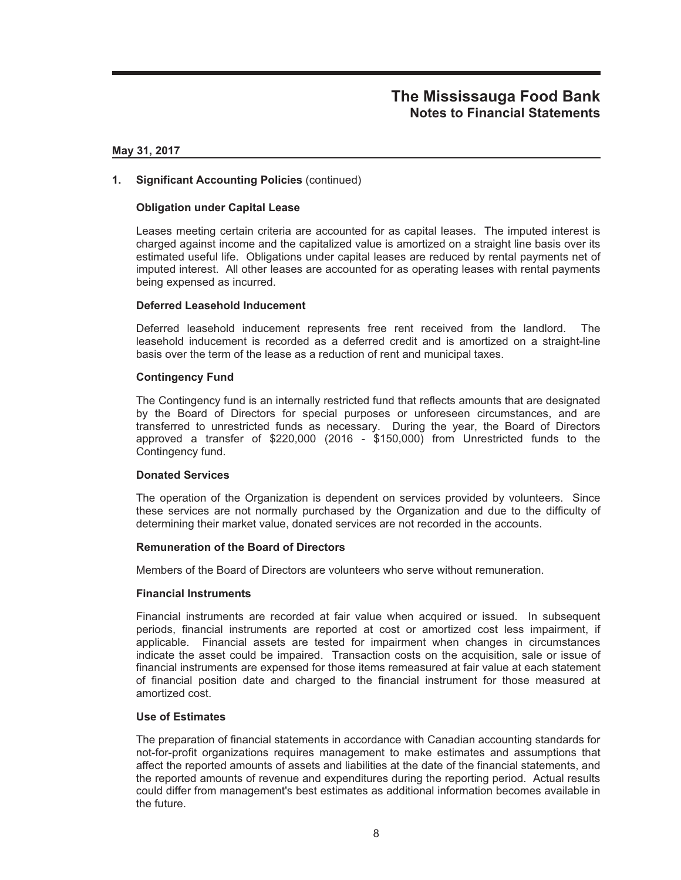#### **May 31, 2017**

### **1. Significant Accounting Policies** (continued)

### **Obligation under Capital Lease**

Leases meeting certain criteria are accounted for as capital leases. The imputed interest is charged against income and the capitalized value is amortized on a straight line basis over its estimated useful life. Obligations under capital leases are reduced by rental payments net of imputed interest. All other leases are accounted for as operating leases with rental payments being expensed as incurred.

### **Deferred Leasehold Inducement**

Deferred leasehold inducement represents free rent received from the landlord. The leasehold inducement is recorded as a deferred credit and is amortized on a straight-line basis over the term of the lease as a reduction of rent and municipal taxes.

### **Contingency Fund**

The Contingency fund is an internally restricted fund that reflects amounts that are designated by the Board of Directors for special purposes or unforeseen circumstances, and are transferred to unrestricted funds as necessary. During the year, the Board of Directors approved a transfer of \$220,000 (2016 - \$150,000) from Unrestricted funds to the Contingency fund.

### **Donated Services**

The operation of the Organization is dependent on services provided by volunteers. Since these services are not normally purchased by the Organization and due to the difficulty of determining their market value, donated services are not recorded in the accounts.

### **Remuneration of the Board of Directors**

Members of the Board of Directors are volunteers who serve without remuneration.

### **Financial Instruments**

Financial instruments are recorded at fair value when acquired or issued. In subsequent periods, financial instruments are reported at cost or amortized cost less impairment, if applicable. Financial assets are tested for impairment when changes in circumstances indicate the asset could be impaired. Transaction costs on the acquisition, sale or issue of financial instruments are expensed for those items remeasured at fair value at each statement of financial position date and charged to the financial instrument for those measured at amortized cost.

### **Use of Estimates**

The preparation of financial statements in accordance with Canadian accounting standards for not-for-profit organizations requires management to make estimates and assumptions that affect the reported amounts of assets and liabilities at the date of the financial statements, and the reported amounts of revenue and expenditures during the reporting period. Actual results could differ from management's best estimates as additional information becomes available in the future.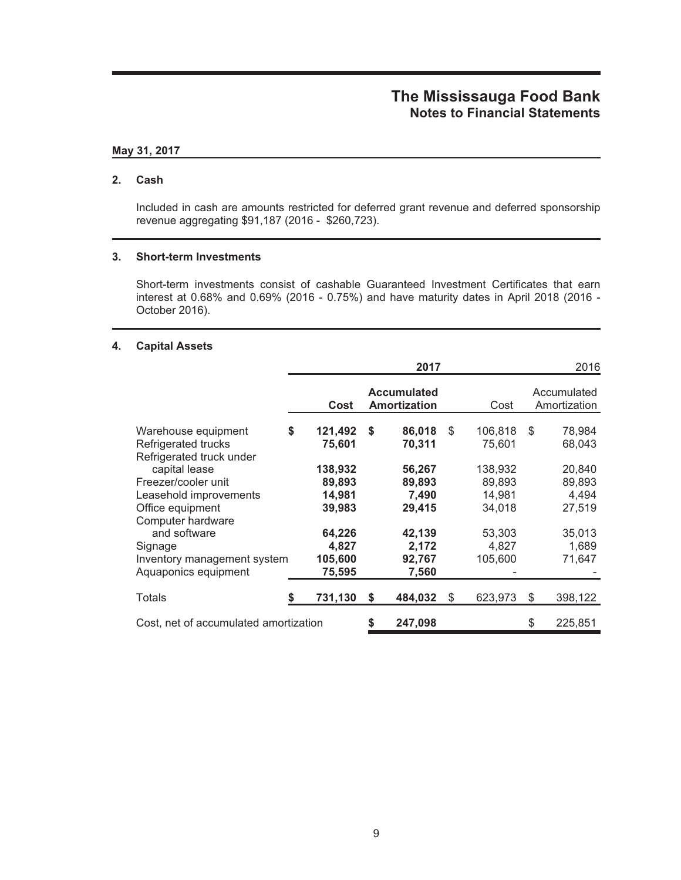### **May 31, 2017**

#### **2. Cash**

Included in cash are amounts restricted for deferred grant revenue and deferred sponsorship revenue aggregating \$91,187 (2016 - \$260,723).

### **3. Short-term Investments**

Short-term investments consist of cashable Guaranteed Investment Certificates that earn interest at 0.68% and 0.69% (2016 - 0.75%) and have maturity dates in April 2018 (2016 - October 2016).

#### **4. Capital Assets**

|                                                                        |                             |    | 2017                                      |     |                             |    | 2016                        |
|------------------------------------------------------------------------|-----------------------------|----|-------------------------------------------|-----|-----------------------------|----|-----------------------------|
|                                                                        | Cost                        |    | <b>Accumulated</b><br><b>Amortization</b> |     | Cost                        |    | Accumulated<br>Amortization |
| Warehouse equipment<br>Refrigerated trucks<br>Refrigerated truck under | \$<br>121,492<br>75,601     | S  | 86,018<br>70,311                          | \$  | 106,818<br>75,601           | -S | 78,984<br>68,043            |
| capital lease<br>Freezer/cooler unit<br>Leasehold improvements         | 138,932<br>89,893<br>14,981 |    | 56,267<br>89,893<br>7,490                 |     | 138,932<br>89,893<br>14,981 |    | 20,840<br>89,893<br>4,494   |
| Office equipment<br>Computer hardware<br>and software<br>Signage       | 39,983<br>64,226<br>4,827   |    | 29,415<br>42,139<br>2,172                 |     | 34,018<br>53,303<br>4,827   |    | 27,519<br>35,013<br>1,689   |
| Inventory management system<br>Aquaponics equipment                    | 105,600<br>75,595           |    | 92,767<br>7,560                           |     | 105,600                     |    | 71,647                      |
| Totals                                                                 | 731,130                     | \$ | 484.032                                   | \$. | 623,973                     | S  | 398,122                     |
| Cost, net of accumulated amortization                                  |                             | \$ | 247,098                                   |     |                             | \$ | 225,851                     |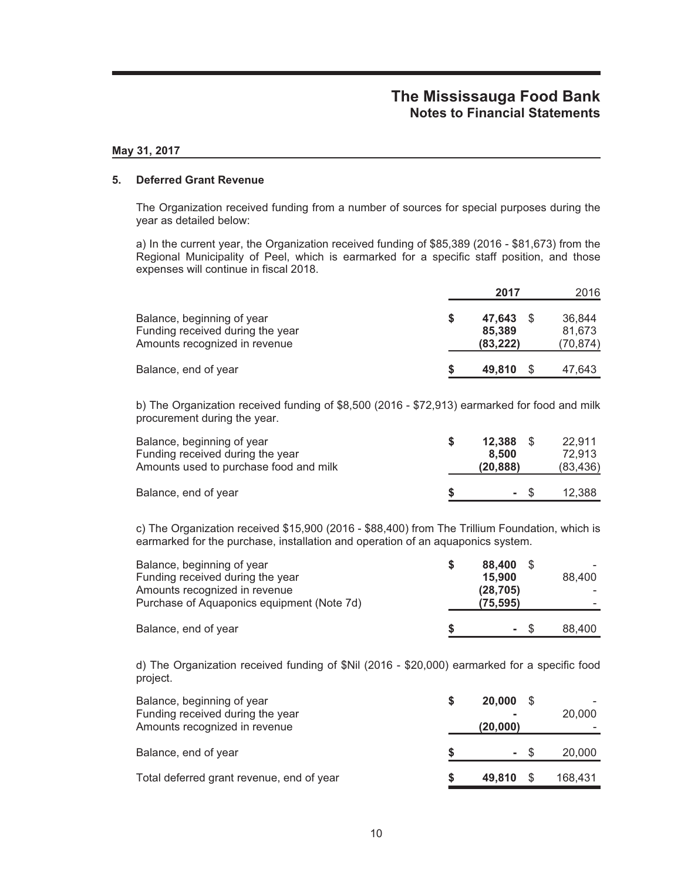#### **May 31, 2017**

#### **5. Deferred Grant Revenue**

The Organization received funding from a number of sources for special purposes during the year as detailed below:

a) In the current year, the Organization received funding of \$85,389 (2016 - \$81,673) from the Regional Municipality of Peel, which is earmarked for a specific staff position, and those expenses will continue in fiscal 2018.

|                                                                                                 |   | 2017                          | 2016                         |
|-------------------------------------------------------------------------------------------------|---|-------------------------------|------------------------------|
| Balance, beginning of year<br>Funding received during the year<br>Amounts recognized in revenue | S | 47.643<br>85,389<br>(83, 222) | 36.844<br>81.673<br>(70,874) |
| Balance, end of year                                                                            | S | 49,810                        | 47,643                       |

b) The Organization received funding of \$8,500 (2016 - \$72,913) earmarked for food and milk procurement during the year.

| Balance, beginning of year             | $12.388$ \$ | 22.911    |
|----------------------------------------|-------------|-----------|
| Funding received during the year       | 8.500       | 72.913    |
| Amounts used to purchase food and milk | (20, 888)   | (83, 436) |
| Balance, end of year                   | - \$        | 12.388    |

c) The Organization received \$15,900 (2016 - \$88,400) from The Trillium Foundation, which is earmarked for the purchase, installation and operation of an aquaponics system.

| Balance, beginning of year<br>Funding received during the year<br>Amounts recognized in revenue<br>Purchase of Aquaponics equipment (Note 7d) |    | 88.400<br>15.900<br>(28, 705)<br>(75, 595) | 88.400 |
|-----------------------------------------------------------------------------------------------------------------------------------------------|----|--------------------------------------------|--------|
| Balance, end of year                                                                                                                          | -S | - \$                                       | 88.400 |

d) The Organization received funding of \$Nil (2016 - \$20,000) earmarked for a specific food project.

| Balance, beginning of year<br>Funding received during the year<br>Amounts recognized in revenue | <b>20,000 \$</b><br>(20,000) |      | 20,000  |
|-------------------------------------------------------------------------------------------------|------------------------------|------|---------|
| Balance, end of year                                                                            |                              | - \$ | 20,000  |
| Total deferred grant revenue, end of year                                                       | 49,810                       |      | 168,431 |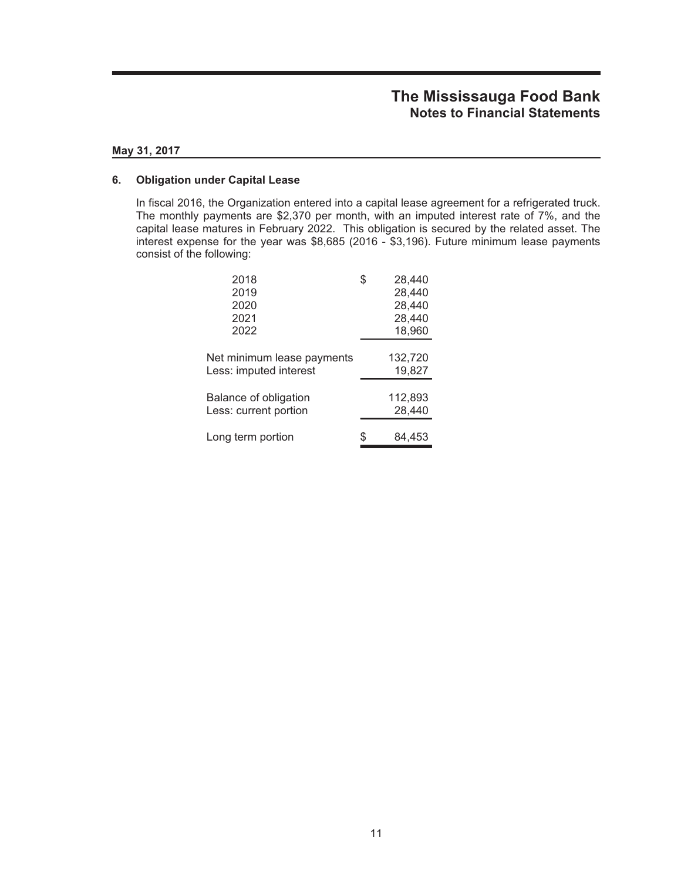#### **May 31, 2017**

#### **6. Obligation under Capital Lease**

In fiscal 2016, the Organization entered into a capital lease agreement for a refrigerated truck. The monthly payments are \$2,370 per month, with an imputed interest rate of 7%, and the capital lease matures in February 2022. This obligation is secured by the related asset. The interest expense for the year was \$8,685 (2016 - \$3,196). Future minimum lease payments consist of the following:

| 2018                         | 28,440  |
|------------------------------|---------|
| 2019                         | 28,440  |
| 2020                         | 28,440  |
| 2021                         | 28,440  |
| 2022                         | 18,960  |
|                              |         |
| Net minimum lease payments   | 132,720 |
| Less: imputed interest       | 19,827  |
|                              |         |
| <b>Balance of obligation</b> | 112,893 |
| Less: current portion        | 28,440  |
|                              |         |
| Long term portion            | 84.453  |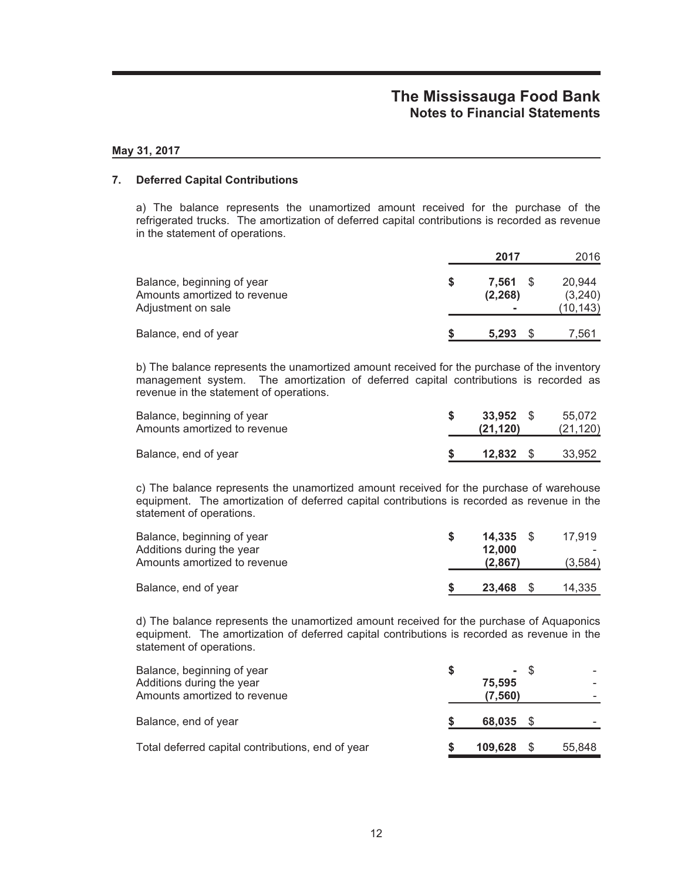### **May 31, 2017**

### **7. Deferred Capital Contributions**

a) The balance represents the unamortized amount received for the purchase of the refrigerated trucks. The amortization of deferred capital contributions is recorded as revenue in the statement of operations.

|                                                                                  |   | 2017              | 2016                          |
|----------------------------------------------------------------------------------|---|-------------------|-------------------------------|
| Balance, beginning of year<br>Amounts amortized to revenue<br>Adjustment on sale | S | 7.561<br>(2, 268) | 20.944<br>(3,240)<br>(10,143) |
| Balance, end of year                                                             |   | 5.293             | 7.561                         |

b) The balance represents the unamortized amount received for the purchase of the inventory management system. The amortization of deferred capital contributions is recorded as revenue in the statement of operations.

| Balance, beginning of year<br>Amounts amortized to revenue | 33,952 S<br>(21, 120) | 55.072<br>(21, 120) |
|------------------------------------------------------------|-----------------------|---------------------|
| Balance, end of year                                       | 12.832 S              | 33.952              |

c) The balance represents the unamortized amount received for the purchase of warehouse equipment. The amortization of deferred capital contributions is recorded as revenue in the statement of operations.

| Balance, beginning of year<br>Additions during the year<br>Amounts amortized to revenue | 14.335<br>12.000<br>(2,867) | 17.919<br>(3,584) |
|-----------------------------------------------------------------------------------------|-----------------------------|-------------------|
| Balance, end of year                                                                    | 23,468                      | 14,335            |

d) The balance represents the unamortized amount received for the purchase of Aquaponics equipment. The amortization of deferred capital contributions is recorded as revenue in the statement of operations.

| Balance, beginning of year<br>Additions during the year<br>Amounts amortized to revenue | 75.595<br>(7, 560) | - \$ |        |
|-----------------------------------------------------------------------------------------|--------------------|------|--------|
| Balance, end of year                                                                    | 68,035 \$          |      |        |
| Total deferred capital contributions, end of year                                       | 109.628            |      | 55.848 |